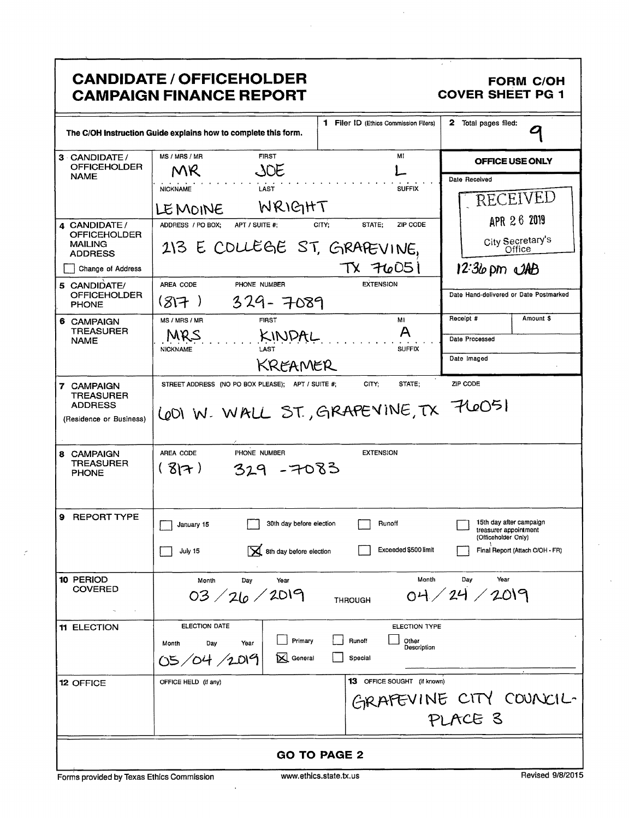|                                                                              | <b>CANDIDATE / OFFICEHOLDER</b><br><b>CAMPAIGN FINANCE REPORT</b>                           |                                                                   | <b>FORM C/OH</b><br><b>COVER SHEET PG 1</b>                                                                |
|------------------------------------------------------------------------------|---------------------------------------------------------------------------------------------|-------------------------------------------------------------------|------------------------------------------------------------------------------------------------------------|
|                                                                              | The C/OH Instruction Guide explains how to complete this form.                              | 1 Filer ID (Ethics Commission Filers)                             | 2 Total pages filed:<br>O                                                                                  |
| 3 CANDIDATE /<br><b>OFFICEHOLDER</b><br><b>NAME</b>                          | <b>FIRST</b><br>MS / MRS / MR<br>JOE<br>MR.                                                 | MI                                                                | OFFICE USE ONLY                                                                                            |
| 4 CANDIDATE/                                                                 | LAST<br><b>NICKNAME</b><br>WRIGHT<br>LEMOINE<br>ADDRESS / PO BOX;<br>APT / SUITE #:         | <b>SUFFIX</b><br>CITY:<br>STATE;<br>ZIP CODE                      | Date Received<br><b>RECEIVED</b><br>APR 26 2019                                                            |
| <b>OFFICEHOLDER</b><br><b>MAILING</b><br><b>ADDRESS</b><br>Change of Address | 213 E COLLEGE ST, GRAPEVINE,                                                                | $TX$ $76051$                                                      | City Secretary's                                                                                           |
| 5 CANDIDATE/<br><b>OFFICEHOLDER</b><br><b>PHONE</b>                          | AREA CODE<br>PHONE NUMBER<br>$329 - 7089$<br>(817)                                          | <b>EXTENSION</b>                                                  | $12:36$ pm $\triangle A\triangle B$<br>Date Hand-delivered or Date Postmarked                              |
| 6 CAMPAIGN<br><b>TREASURER</b><br><b>NAME</b>                                | MS / MRS / MR<br><b>FIRST</b><br>MRS<br>KINDAL<br>LAST<br><b>NICKNAME</b><br>KREAMER        | MI<br>A<br><b>SUFFIX</b>                                          | Receipt #<br>Amount \$<br>Date Processed<br>Date Imaged                                                    |
| 7 CAMPAIGN<br><b>TREASURER</b><br><b>ADDRESS</b><br>(Residence or Business)  | STREET ADDRESS (NO PO BOX PLEASE); APT / SUITE #;<br>LOOI W. WALL ST., GRAPEVINE, TX 7LOO51 | CITY;<br>STATE;                                                   | ZIP CODE                                                                                                   |
| 8 CAMPAIGN<br><b>TREASURER</b><br><b>PHONE</b>                               | PHONE NUMBER<br>AREA CODE<br>$329 - 7083$<br>(37)                                           | <b>EXTENSION</b>                                                  |                                                                                                            |
| <b>REPORT TYPE</b><br>9                                                      | 30th day before election<br>January 15<br>X 8th day before election<br>July 15              | Runoff<br>Exceeded \$500 limit                                    | 15th day after campaign<br>treasurer appointment<br>(Officeholder Only)<br>Final Report (Attach C/OH - FR) |
| 10 PERIOD<br><b>COVERED</b>                                                  | Month<br>Day<br>Year<br>03/26/2019                                                          | Month<br><b>THROUGH</b>                                           | Day<br>Year<br>04/24/2019                                                                                  |
| 11 ELECTION                                                                  | ELECTION DATE<br>Primary<br>Day<br>Year<br>Month<br>N<br>General<br>05/04/2019              | <b>ELECTION TYPE</b><br>Other<br>Runoff<br>Description<br>Special |                                                                                                            |
| <b>12 OFFICE</b>                                                             | OFFICE HELD (if any)                                                                        | 13 OFFICE SOUGHT (if known)                                       | GRAFEVINE CITY COUNCIL-<br>PLACE 3                                                                         |
| <b>GO TO PAGE 2</b>                                                          |                                                                                             |                                                                   |                                                                                                            |

Forms provided by Texas Ethics Commission

 $\vec{r}$ 

 $\ddot{\phantom{a}}$ 

Revised 9/8/2015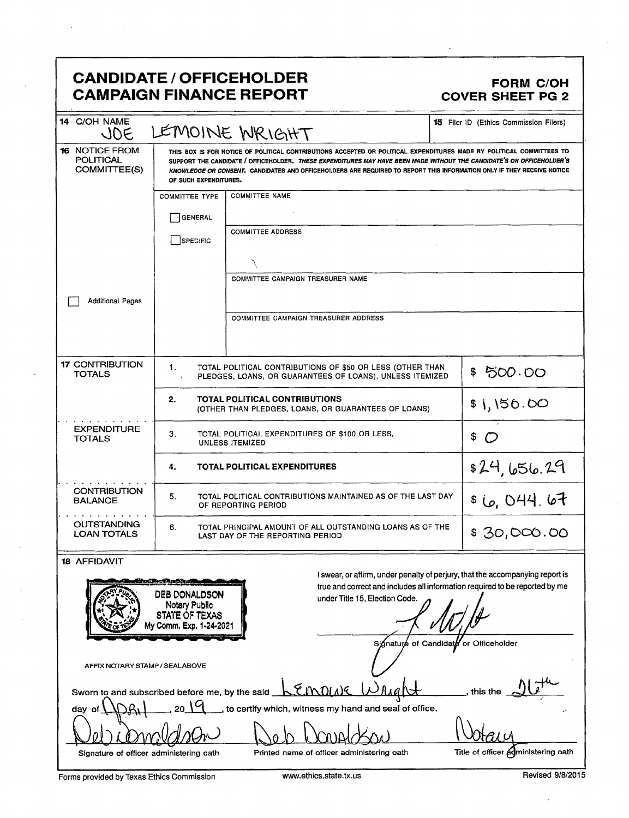## CANDIDATE / OFFICEHOLDER FORM C/OH CAMPAIGN FINANCE REPORT COVER SHEET PG 2

| 14 C/OH NAME<br><b>JOE</b>                                                |                                                                                                                                                                                                                                                                                                                                                                                                  | LEMOINE WRIGHT                                                                                                                                               | <b>15</b> Filer ID (Ethics Commission Filers) |  |
|---------------------------------------------------------------------------|--------------------------------------------------------------------------------------------------------------------------------------------------------------------------------------------------------------------------------------------------------------------------------------------------------------------------------------------------------------------------------------------------|--------------------------------------------------------------------------------------------------------------------------------------------------------------|-----------------------------------------------|--|
| <b>16 NOTICE FROM</b><br><b>POLITICAL</b><br>COMMITTEE(S)                 | THIS BOX IS FOR NOTICE OF POLITICAL CONTRIBUTIONS ACCEPTED OR POLITICAL EXPENDITURES MADE BY POLITICAL COMMITTEES TO<br>SUPPORT THE CANDIDATE / OFFICEHOLDER. THESE EXPENDITURES MAY HAVE BEEN MADE WITHOUT THE CANDIDATE'S OR OFFICEHOLDER'S<br>KNOWLEDGE OR CONSENT. CANDIDATES AND OFFICEHOLDERS ARE REQUIRED TO REPORT THIS INFORMATION ONLY IF THEY RECEIVE NOTICE<br>OF SUCH EXPENDITURES. |                                                                                                                                                              |                                               |  |
|                                                                           | <b>COMMITTEE TYPE</b>                                                                                                                                                                                                                                                                                                                                                                            | <b>COMMITTEE NAME</b>                                                                                                                                        |                                               |  |
|                                                                           | GENERAL                                                                                                                                                                                                                                                                                                                                                                                          |                                                                                                                                                              |                                               |  |
|                                                                           | SPECIFIC                                                                                                                                                                                                                                                                                                                                                                                         | <b>COMMITTEE ADDRESS</b>                                                                                                                                     |                                               |  |
|                                                                           |                                                                                                                                                                                                                                                                                                                                                                                                  |                                                                                                                                                              |                                               |  |
|                                                                           |                                                                                                                                                                                                                                                                                                                                                                                                  |                                                                                                                                                              |                                               |  |
|                                                                           |                                                                                                                                                                                                                                                                                                                                                                                                  | COMMITTEE CAMPAIGN TREASURER NAME                                                                                                                            |                                               |  |
| <b>Additional Pages</b>                                                   |                                                                                                                                                                                                                                                                                                                                                                                                  |                                                                                                                                                              |                                               |  |
|                                                                           |                                                                                                                                                                                                                                                                                                                                                                                                  | COMMITTEE CAMPAIGN TREASURER ADDRESS                                                                                                                         |                                               |  |
|                                                                           |                                                                                                                                                                                                                                                                                                                                                                                                  |                                                                                                                                                              |                                               |  |
| <b>17 CONTRIBUTION</b><br><b>TOTALS</b>                                   | 1.                                                                                                                                                                                                                                                                                                                                                                                               | TOTAL POLITICAL CONTRIBUTIONS OF \$50 OR LESS (OTHER THAN<br>PLEDGES, LOANS, OR GUARANTEES OF LOANS), UNLESS ITEMIZED                                        | \$500.00                                      |  |
|                                                                           | 2.                                                                                                                                                                                                                                                                                                                                                                                               | <b>TOTAL POLITICAL CONTRIBUTIONS</b><br>(OTHER THAN PLEDGES, LOANS, OR GUARANTEES OF LOANS)                                                                  | \$1,150.00                                    |  |
| <b>EXPENDITURE</b><br><b>TOTALS</b>                                       | З.<br>TOTAL POLITICAL EXPENDITURES OF \$100 OR LESS,<br>\$<br><b>UNLESS ITEMIZED</b>                                                                                                                                                                                                                                                                                                             |                                                                                                                                                              |                                               |  |
|                                                                           | 4.                                                                                                                                                                                                                                                                                                                                                                                               | <b>TOTAL POLITICAL EXPENDITURES</b>                                                                                                                          | \$24,656.29                                   |  |
| <b>CONTRIBUTION</b><br><b>BALANCE</b>                                     | 5.                                                                                                                                                                                                                                                                                                                                                                                               | TOTAL POLITICAL CONTRIBUTIONS MAINTAINED AS OF THE LAST DAY<br>OF REPORTING PERIOD                                                                           | \$6,044.67                                    |  |
| <b>OUTSTANDING</b><br><b>LOAN TOTALS</b>                                  | 6.<br>TOTAL PRINCIPAL AMOUNT OF ALL OUTSTANDING LOANS AS OF THE<br>\$30,000.00<br>LAST DAY OF THE REPORTING PERIOD                                                                                                                                                                                                                                                                               |                                                                                                                                                              |                                               |  |
| <b>18 AFFIDAVIT</b>                                                       |                                                                                                                                                                                                                                                                                                                                                                                                  |                                                                                                                                                              |                                               |  |
|                                                                           | <b>Braine Duality</b>                                                                                                                                                                                                                                                                                                                                                                            | I swear, or affirm, under penalty of perjury, that the accompanying report is<br>true and correct and includes all information required to be reported by me |                                               |  |
|                                                                           | DEB DONALDSON<br>Notary Public                                                                                                                                                                                                                                                                                                                                                                   | under Title 15, Election Code.                                                                                                                               |                                               |  |
|                                                                           | STATE OF TEXAS<br>My Comm. Exp. 1-24-2021                                                                                                                                                                                                                                                                                                                                                        |                                                                                                                                                              |                                               |  |
|                                                                           |                                                                                                                                                                                                                                                                                                                                                                                                  | Signature of Candidate or Officeholder                                                                                                                       |                                               |  |
| AFFIX NOTARY STAMP / SEALABOVE                                            |                                                                                                                                                                                                                                                                                                                                                                                                  |                                                                                                                                                              |                                               |  |
|                                                                           |                                                                                                                                                                                                                                                                                                                                                                                                  |                                                                                                                                                              |                                               |  |
| Sworn to and subscribed before me, by the said                            |                                                                                                                                                                                                                                                                                                                                                                                                  | LEMOLNE                                                                                                                                                      | this the                                      |  |
| 2019<br>, to certify which, witness my hand and seal of office.<br>day of |                                                                                                                                                                                                                                                                                                                                                                                                  |                                                                                                                                                              |                                               |  |

Forms provided by Texas Ethics Commission www.ethics.state.tx.us Revised 9/8/2015

Signature of officer administering oath Printed name of officer administering oath Title of officer administering oath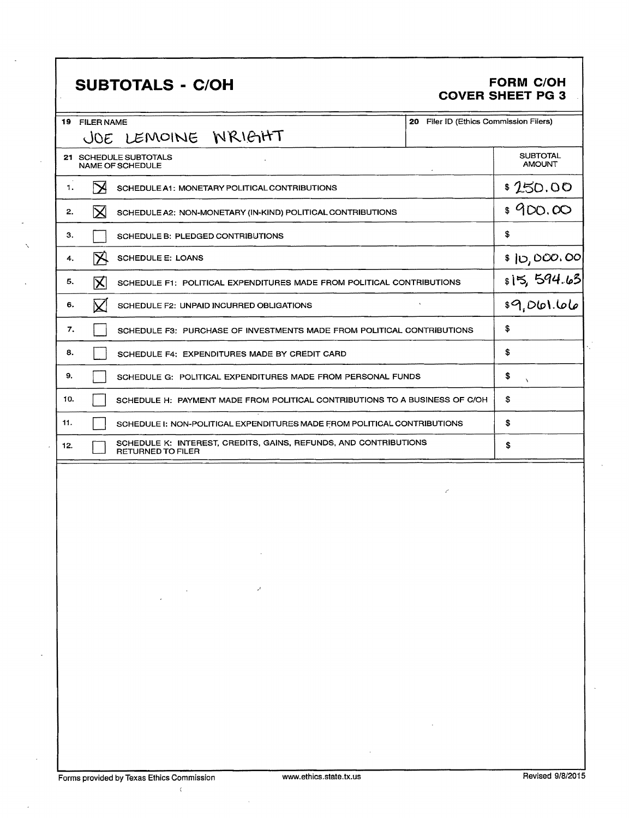# **SUBTOTALS - C/OH**

#### **FORM C/OH COVER SHEET PG 3**

| 19  | 20 Filer ID (Ethics Commission Filers)<br><b>FILER NAME</b>                                  |                                  |
|-----|----------------------------------------------------------------------------------------------|----------------------------------|
|     | JOE LEMOINE WRIGHT                                                                           |                                  |
|     | 21 SCHEDULE SUBTOTALS<br><b>NAME OF SCHEDULE</b>                                             | <b>SUBTOTAL</b><br><b>AMOUNT</b> |
| 1.  | $\boldsymbol{\bowtie}$<br>SCHEDULE A1: MONETARY POLITICAL CONTRIBUTIONS                      | \$250.00                         |
| 2.  | $\bm{\times}$<br>SCHEDULE A2: NON-MONETARY (IN-KIND) POLITICAL CONTRIBUTIONS                 | \$900.00                         |
| з.  | SCHEDULE B: PLEDGED CONTRIBUTIONS                                                            | \$                               |
| 4.  | $\boxtimes$<br><b>SCHEDULE E: LOANS</b>                                                      | \$ 10,000.00                     |
| 5.  | 区<br>SCHEDULE F1: POLITICAL EXPENDITURES MADE FROM POLITICAL CONTRIBUTIONS                   | 815, 594.63<br>89, 061.66        |
| 6.  | $\bm{\mathsf{K}}$<br>SCHEDULE F2: UNPAID INCURRED OBLIGATIONS                                |                                  |
| 7.  | SCHEDULE F3: PURCHASE OF INVESTMENTS MADE FROM POLITICAL CONTRIBUTIONS                       | \$                               |
| 8.  | SCHEDULE F4: EXPENDITURES MADE BY CREDIT CARD                                                | \$                               |
| 9.  | SCHEDULE G: POLITICAL EXPENDITURES MADE FROM PERSONAL FUNDS                                  | \$<br>N                          |
| 10. | SCHEDULE H: PAYMENT MADE FROM POLITICAL CONTRIBUTIONS TO A BUSINESS OF C/OH                  | \$                               |
| 11. | SCHEDULE I: NON-POLITICAL EXPENDITURES MADE FROM POLITICAL CONTRIBUTIONS                     | \$                               |
| 12. | SCHEDULE K: INTEREST, CREDITS, GAINS, REFUNDS, AND CONTRIBUTIONS<br><b>RETURNED TO FILER</b> | \$                               |
|     |                                                                                              |                                  |

 $\bar{\chi}$ 

 $\ddot{\phantom{a}}$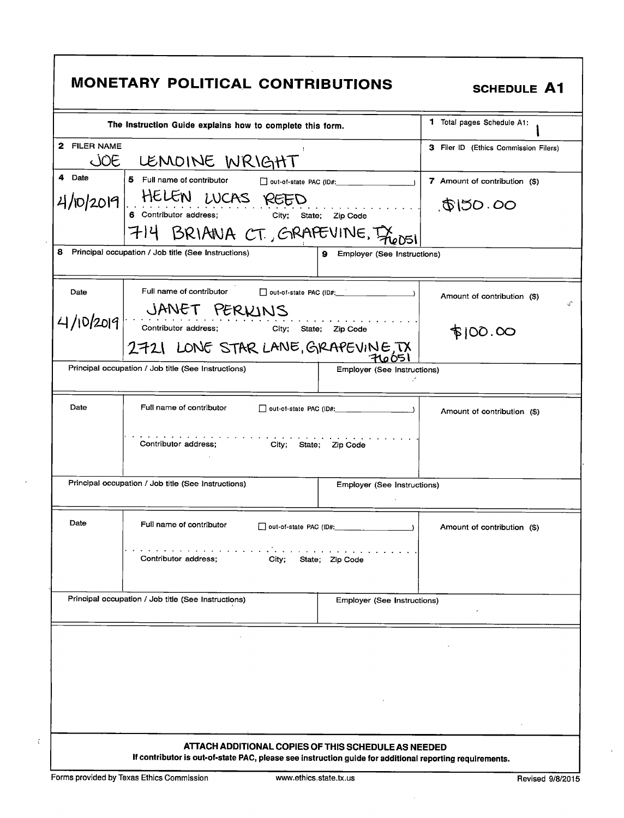|              | The Instruction Guide explains how to complete this form.                  |                                                                                                            | 1 Total pages Schedule A1:            |
|--------------|----------------------------------------------------------------------------|------------------------------------------------------------------------------------------------------------|---------------------------------------|
| 2 FILER NAME |                                                                            |                                                                                                            | 3 Filer ID (Ethics Commission Filers) |
| <i>OE</i>    | LEMOINE WRIGHT                                                             |                                                                                                            |                                       |
| 4 Date       | 5 Full name of contributor                                                 | out-of-state PAC (ID#:                                                                                     | <b>7</b> Amount of contribution (\$)  |
|              | 4/10/2019 HELEN LUCAS REED<br>6 Contributor address; City; State; Zip Code | .                                                                                                          | \$150.00                              |
|              | 714 BRIANA CT, GRAPEVINE, I                                                |                                                                                                            |                                       |
|              | 8 Principal occupation / Job title (See Instructions)                      | 9.<br><b>Employer (See Instructions)</b>                                                                   |                                       |
| Date         | Full name of contributor                                                   | $\Box$ out-of-state PAC (ID#: \\omega_{\sigma_{\sigma_{\sigma_{\sigma_{\sigma_{\sigma_{\sigma_{\sigma_}}}} | Amount of contribution (\$)           |
|              |                                                                            |                                                                                                            |                                       |
| 4/10/2019    | JANET PERKINS<br>Contributor address; City; State; Zip Code                |                                                                                                            | $\phi$ 100.00                         |
|              | 2721 LONE STAR LANE, GRAPEVINE, TX                                         |                                                                                                            |                                       |
|              | Principal occupation / Job title (See Instructions)                        | Employer (See Instructions)                                                                                |                                       |
| Date         | Full name of contributor                                                   |                                                                                                            | Amount of contribution (\$)           |
|              | Contributor address;<br>City; State; Zip Code                              |                                                                                                            |                                       |
|              | Principal occupation / Job title (See Instructions)                        | <b>Employer (See Instructions)</b>                                                                         |                                       |
|              |                                                                            |                                                                                                            |                                       |
| Date         | Full name of contributor<br>□ out-of-state PAC (ID#:                       |                                                                                                            | Amount of contribution (\$)           |
|              | Contributor address:<br>City;                                              | State; Zip Code                                                                                            |                                       |
|              | Principal occupation / Job title (See Instructions)                        | Employer (See Instructions)                                                                                |                                       |
|              |                                                                            |                                                                                                            |                                       |
|              |                                                                            |                                                                                                            |                                       |
|              |                                                                            |                                                                                                            |                                       |
|              |                                                                            |                                                                                                            |                                       |
|              |                                                                            |                                                                                                            |                                       |
|              |                                                                            |                                                                                                            |                                       |

Ï

 $\ddot{\phantom{a}}$ 

 $\ddot{\phantom{0}}$ 

 $\hat{\mathcal{N}}$ 

 $\bar{\mathcal{A}}$ 

 $\hat{\boldsymbol{\beta}}$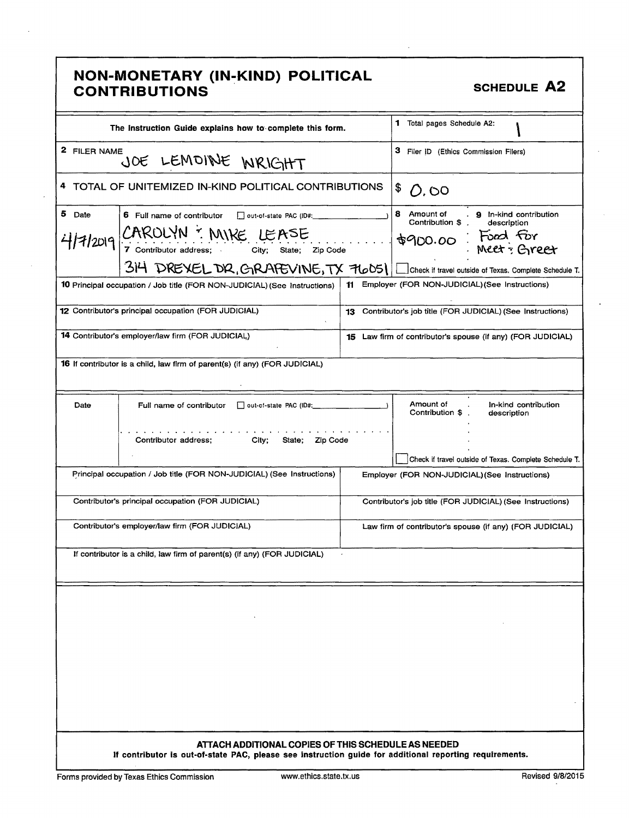|              | NON-MONETARY (IN-KIND) POLITICAL<br><b>CONTRIBUTIONS</b>                                                                                                                           |     | <b>SCHEDULE A2</b>                                                                                                                                                            |
|--------------|------------------------------------------------------------------------------------------------------------------------------------------------------------------------------------|-----|-------------------------------------------------------------------------------------------------------------------------------------------------------------------------------|
|              | The Instruction Guide explains how to complete this form.                                                                                                                          |     | 1 Total pages Schedule A2:                                                                                                                                                    |
| 2 FILER NAME | JOE LEMOINE WRIGHT                                                                                                                                                                 |     | 3 Filer ID (Ethics Commission Filers)                                                                                                                                         |
|              | 4 TOTAL OF UNITEMIZED IN-KIND POLITICAL CONTRIBUTIONS                                                                                                                              |     | \$<br>0,00                                                                                                                                                                    |
| 5 Date       | 6 Full name of contributor<br>out-of-state PAC (ID#:<br>CAROLYN : MIKE LEASE<br>4/7/2019<br>City; State; Zip Code<br>7 Contributor address;<br>314 DREXEL DR, GIRAPEVINE, TX 76051 |     | 8<br>. 9 In-kind contribution<br>Amount of<br>Contribution \$<br>description<br>Food for<br>\$900.00<br>Meet: Greet<br>Check if travel outside of Texas. Complete Schedule T. |
|              | <b>10</b> Principal occupation / Job title (FOR NON-JUDICIAL) (See Instructions)                                                                                                   | 11. | Employer (FOR NON-JUDICIAL) (See Instructions)                                                                                                                                |
|              | 12 Contributor's principal occupation (FOR JUDICIAL)                                                                                                                               | 13  | Contributor's job title (FOR JUDICIAL) (See Instructions)                                                                                                                     |
|              | 14 Contributor's employer/law firm (FOR JUDICIAL)                                                                                                                                  |     | <b>15</b> Law firm of contributor's spouse (if any) (FOR JUDICIAL)                                                                                                            |
|              | <b>16</b> If contributor is a child, law firm of parent(s) (if any) (FOR JUDICIAL)                                                                                                 |     |                                                                                                                                                                               |
| Date         | Full name of contributor<br>out-of-state PAC (ID#:<br>Contributor address;<br>City;<br>State;<br>Zip Code                                                                          |     | Amount of<br>In-kind contribution<br>Contribution \$<br>description<br>Check if travel outside of Texas. Complete Schedule T.                                                 |
|              | Principal occupation / Job title (FOR NON-JUDICIAL) (See Instructions)                                                                                                             |     | Employer (FOR NON-JUDICIAL) (See Instructions)                                                                                                                                |
|              | Contributor's principal occupation (FOR JUDICIAL)                                                                                                                                  |     | Contributor's job title (FOR JUDICIAL) (See Instructions)                                                                                                                     |
|              | Contributor's employer/law firm (FOR JUDICIAL)                                                                                                                                     |     | Law firm of contributor's spouse (if any) (FOR JUDICIAL)                                                                                                                      |
|              | If contributor is a child, law firm of parent(s) (if any) (FOR JUDICIAL)                                                                                                           |     |                                                                                                                                                                               |
|              |                                                                                                                                                                                    |     |                                                                                                                                                                               |
|              | ATTACH ADDITIONAL COPIES OF THIS SCHEDULE AS NEEDED<br>If contributor is out-of-state PAC, please see instruction guide for additional reporting requirements.                     |     |                                                                                                                                                                               |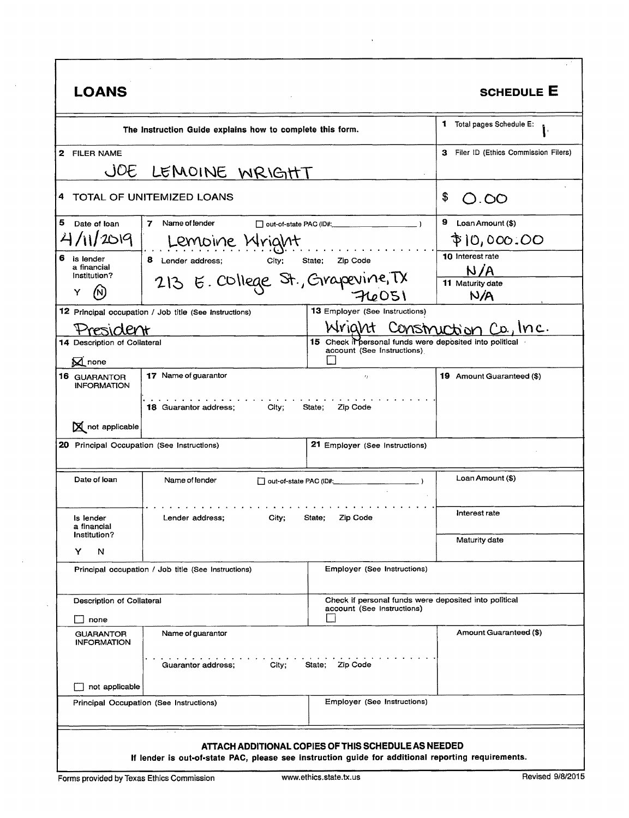| <b>LOANS</b>                               |                                                           |                                                                                                                                   |                                                                               |
|--------------------------------------------|-----------------------------------------------------------|-----------------------------------------------------------------------------------------------------------------------------------|-------------------------------------------------------------------------------|
|                                            | The Instruction Guide explains how to complete this form. |                                                                                                                                   | 1 Total pages Schedule E:                                                     |
| 2 FILER NAME                               |                                                           |                                                                                                                                   | 3 Filer ID (Ethics Commission Filers)                                         |
| JOE<br>LEMOINE WRIGHT                      |                                                           |                                                                                                                                   |                                                                               |
|                                            | TOTAL OF UNITEMIZED LOANS                                 |                                                                                                                                   | \$<br>O.OO                                                                    |
| Date of loan                               | $\mathbf{7}$<br>Name of lender                            | out-of-state PAC (ID#:                                                                                                            | 9<br>Loan Amount (\$)                                                         |
| 4/11/2019                                  | Lemoine Mright                                            |                                                                                                                                   | \$10,000.00                                                                   |
| is lender                                  | 8 Lender address;<br>City;                                | Zip Code<br>State:                                                                                                                | 10 Interest rate                                                              |
| a financial<br>Institution?                |                                                           |                                                                                                                                   | N/A                                                                           |
| Y                                          | 213 E. College St., Grapevine, TX                         | 76051                                                                                                                             | 11 Maturity date<br>N/A                                                       |
|                                            |                                                           | 13 Employer (See Instructions)                                                                                                    |                                                                               |
|                                            | 12 Principal occupation / Job title (See Instructions)    | Wright                                                                                                                            | Inc.                                                                          |
| 14 Description of Collateral               |                                                           |                                                                                                                                   | Construction Co.,<br>15 Check if personal funds were deposited into political |
| $\boxtimes$ none                           |                                                           | account (See Instructions)                                                                                                        |                                                                               |
| <b>16 GUARANTOR</b>                        | 17 Name of guarantor                                      | $\epsilon_f$                                                                                                                      | 19 Amount Guaranteed (\$)                                                     |
| <b>INFORMATION</b><br>N not applicable     | <b>18 Guarantor address:</b><br>City;                     | State;<br>Zip Code                                                                                                                |                                                                               |
| 20 Principal Occupation (See Instructions) |                                                           | 21 Employer (See Instructions)                                                                                                    |                                                                               |
| Date of loan                               | Name of lender                                            | out-of-state PAC (ID#:                                                                                                            | Loan Amount (\$)                                                              |
| Is lender<br>a financial                   | Lender address;<br><b>Olly,</b>                           | State,                                                                                                                            | Interest rate                                                                 |
| Institution?                               |                                                           |                                                                                                                                   | Maturity date                                                                 |
| N<br>Y                                     | Principal occupation / Job title (See Instructions)       | <b>Employer (See Instructions)</b>                                                                                                |                                                                               |
| Description of Collateral                  |                                                           | account (See Instructions)                                                                                                        | Check if personal funds were deposited into political                         |
| s none                                     |                                                           |                                                                                                                                   |                                                                               |
| <b>GUARANTOR</b><br><b>INFORMATION</b>     | Name of guarantor                                         |                                                                                                                                   | Amount Guaranteed (\$)                                                        |
|                                            | Guarantor address;                                        | الجالح الجالح الجالح الجالح الجالح الجالح الجالح الجالح الجالح الجالح الجالح الجالح الجالح الجالح الجالج<br>City; State; Zip Code |                                                                               |
| not applicable                             |                                                           |                                                                                                                                   |                                                                               |
| Principal Occupation (See Instructions)    |                                                           | Employer (See Instructions)                                                                                                       |                                                                               |

 $\mathcal{A}^{\mathrm{c}}$  ,  $\mathcal{A}^{\mathrm{c}}$ 

 $\mathcal{A}^{\mathcal{A}}$ 

 $\sim 40\,$  km  $^{-1}$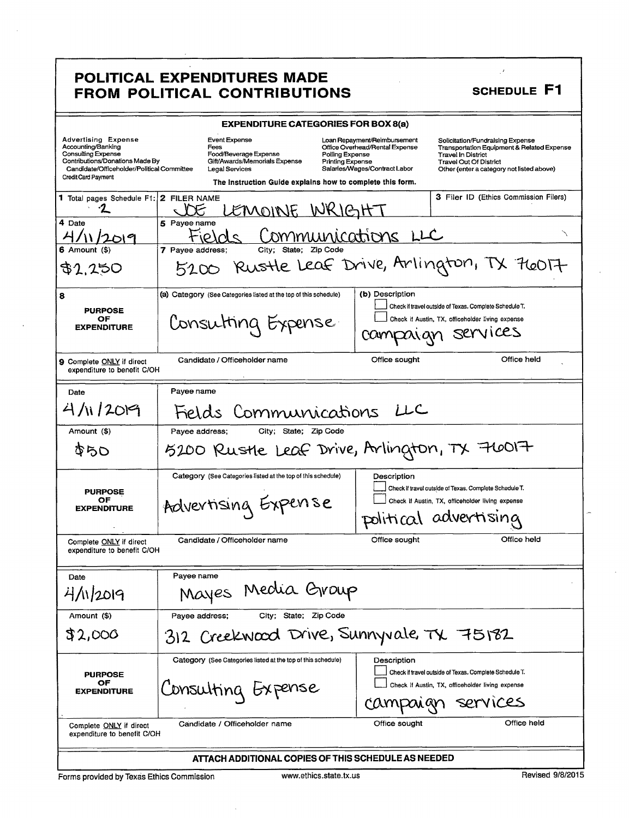### POLITICAL EXPENDITURES MADE FROM POLITICAL CONTRIBUTIONS

| <b>EXPENDITURE CATEGORIES FOR BOX 8(a)</b>                                                                                                                                                   |                                                                                                                                                                                                                     |                                                                                                 |                                                                                                                                                                                           |  |
|----------------------------------------------------------------------------------------------------------------------------------------------------------------------------------------------|---------------------------------------------------------------------------------------------------------------------------------------------------------------------------------------------------------------------|-------------------------------------------------------------------------------------------------|-------------------------------------------------------------------------------------------------------------------------------------------------------------------------------------------|--|
| <b>Advertising Expense</b><br>Accounting/Banking<br><b>Consulting Expense</b><br>Contributions/Donations Made By<br>Candidate/Officeholder/Political Committee<br><b>Credit Card Payment</b> | Event Expense<br>Fees<br>Food/Beverage Expense<br>Polling Expense<br>Gift/Awards/Memorials Expense<br><b>Printing Expense</b><br><b>Legal Services</b><br>The Instruction Guide explains how to complete this form. | Loan Repayment/Reimbursement<br>Office Overhead/Rental Expense<br>Salaries/Wages/Contract Labor | Solicitation/Fundraising Expense<br>Transportation Equipment & Related Expense<br><b>Travel In District</b><br><b>Travel Out Of District</b><br>Other (enter a category not listed above) |  |
| 1 Total pages Schedule F1: 2 FILER NAME                                                                                                                                                      | EMOINE WRIGHT                                                                                                                                                                                                       |                                                                                                 | <b>3 Filer ID (Ethics Commission Filers)</b>                                                                                                                                              |  |
| 4 Date                                                                                                                                                                                       | 5 Payee name<br>ommunications LLC                                                                                                                                                                                   |                                                                                                 |                                                                                                                                                                                           |  |
| 6 Amount (\$)                                                                                                                                                                                | City;<br>State; Zip Code<br>7 Pavee address:                                                                                                                                                                        |                                                                                                 |                                                                                                                                                                                           |  |
| \$1.250                                                                                                                                                                                      | 5200                                                                                                                                                                                                                |                                                                                                 | Rustle Leaf Drive, Arlington, TX 76017                                                                                                                                                    |  |
| 8<br><b>PURPOSE</b><br>ОF<br><b>EXPENDITURE</b>                                                                                                                                              | (a) Category (See Categories listed at the top of this schedule)<br>Consutting Expense                                                                                                                              | (b) Description<br>COMN<br>Zaian                                                                | Check if travel outside of Texas. Complete Schedule T.<br>Check if Austin, TX, officeholder living expense<br>Services                                                                    |  |
| <b>9</b> Complete ONLY if direct<br>expenditure to benefit C/OH                                                                                                                              | Candidate / Officeholder name                                                                                                                                                                                       | Office sought                                                                                   | Office held                                                                                                                                                                               |  |
| Date                                                                                                                                                                                         | Payee name                                                                                                                                                                                                          |                                                                                                 |                                                                                                                                                                                           |  |
| 4/112019                                                                                                                                                                                     | Fields Communications                                                                                                                                                                                               | بالبل                                                                                           |                                                                                                                                                                                           |  |
| Amount (\$)                                                                                                                                                                                  | Payee address;<br>City; State; Zip Code                                                                                                                                                                             |                                                                                                 |                                                                                                                                                                                           |  |
| おらひ                                                                                                                                                                                          | 5200 Rustle Leaf Drive, Arlington, TX 76017                                                                                                                                                                         |                                                                                                 |                                                                                                                                                                                           |  |
| <b>PURPOSE</b><br>OF<br><b>EXPENDITURE</b>                                                                                                                                                   | Category (See Categories listed at the top of this schedule)<br>Advertising Experise                                                                                                                                | Description                                                                                     | Check if travel outside of Texas. Complete Schedule T.<br>Check if Austin, TX, officeholder living expense<br>political advertising                                                       |  |
| Complete ONLY if direct<br>expenditure to benefit C/OH                                                                                                                                       | Candidate / Officeholder name                                                                                                                                                                                       | Office sought                                                                                   | Office held                                                                                                                                                                               |  |
| Date                                                                                                                                                                                         | Payee name                                                                                                                                                                                                          |                                                                                                 |                                                                                                                                                                                           |  |
| 4/11/2019                                                                                                                                                                                    | Mayes Media Group                                                                                                                                                                                                   |                                                                                                 |                                                                                                                                                                                           |  |
| Amount (\$)                                                                                                                                                                                  | City; State; Zip Code<br>Payee address;                                                                                                                                                                             |                                                                                                 |                                                                                                                                                                                           |  |
| \$2,000                                                                                                                                                                                      | Creekwood Drive, Sunnyvale, TX 75182<br>$312 -$                                                                                                                                                                     |                                                                                                 |                                                                                                                                                                                           |  |
| <b>PURPOSE</b><br>OF<br><b>EXPENDITURE</b>                                                                                                                                                   | Category (See Categories listed at the top of this schedule)<br>Consulting Expense                                                                                                                                  | Description<br>CAMI                                                                             | Check if travel outside of Texas. Complete Schedule T.<br>Check if Austin, TX, officeholder living expense<br>services                                                                    |  |
| Office held<br>Candidate / Officeholder name<br>Office sought<br>Complete ONLY if direct<br>expenditure to benefit C/OH                                                                      |                                                                                                                                                                                                                     |                                                                                                 |                                                                                                                                                                                           |  |
| ATTACH ADDITIONAL COPIES OF THIS SCHEDULE AS NEEDED                                                                                                                                          |                                                                                                                                                                                                                     |                                                                                                 |                                                                                                                                                                                           |  |

Forms provided by Texas Ethics Commission

 $\mathbb{R}^d$ 

SCHEDULE F1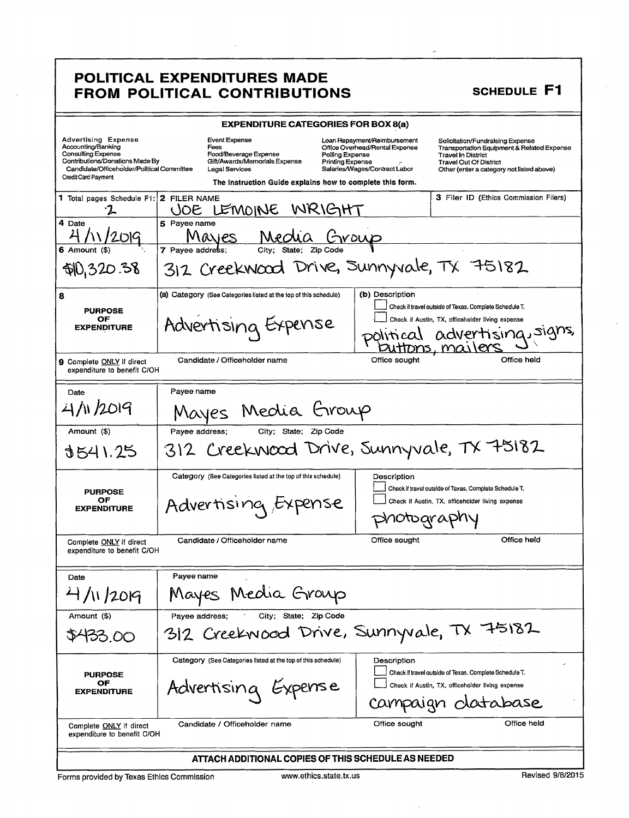#### POLITICAL EXPENDITURES MADE FROM POLITICAL CONTRIBUTIONS

| <b>EXPENDITURE CATEGORIES FOR BOX 8(a)</b>                                                                                                                                                   |                                                                                                          |                                                                                                                                               |                                                                                                                                                                                                      |  |
|----------------------------------------------------------------------------------------------------------------------------------------------------------------------------------------------|----------------------------------------------------------------------------------------------------------|-----------------------------------------------------------------------------------------------------------------------------------------------|------------------------------------------------------------------------------------------------------------------------------------------------------------------------------------------------------|--|
| <b>Advertising Expense</b><br>Accounting/Banking<br><b>Consulting Expense</b><br>Contributions/Donations Made By<br>Candidate/Officeholder/Political Committee<br><b>Credit Card Payment</b> | Event Expense<br>Fees<br>Food/Beverage Expense<br>Gift/Awards/Memorials Expense<br><b>Legal Services</b> | Loan Repayment/Reimbursement<br>Office Overhead/Rental Expense<br>Polling Expense<br><b>Printing Expense</b><br>Salaries/Wages/Contract Labor | Solicitation/Fundralsing Expense<br><b>Transportation Equipment &amp; Related Expense</b><br><b>Travel In District</b><br><b>Travel Out Of District</b><br>Other (enter a category not listed above) |  |
|                                                                                                                                                                                              | The instruction Guide explains how to complete this form.                                                |                                                                                                                                               |                                                                                                                                                                                                      |  |
| 1 Total pages Schedule F1: 2 FILER NAME                                                                                                                                                      | JOE LEMOINE<br>WRIGHT                                                                                    |                                                                                                                                               | 3 Filer ID (Ethics Commission Filers)                                                                                                                                                                |  |
| 4 Date                                                                                                                                                                                       | 5 Payee name<br>Maries                                                                                   |                                                                                                                                               |                                                                                                                                                                                                      |  |
| 6 Amount (\$)                                                                                                                                                                                | 7 Pavee address:<br>Citv:<br>State; Zip Code                                                             |                                                                                                                                               |                                                                                                                                                                                                      |  |
| \$10,320.38                                                                                                                                                                                  | 312 Creekwood Drive, Sunnyvale, TX 75182                                                                 |                                                                                                                                               |                                                                                                                                                                                                      |  |
| 8                                                                                                                                                                                            | (a) Category (See Categories listed at the top of this schedule)                                         | (b) Description                                                                                                                               |                                                                                                                                                                                                      |  |
| <b>PURPOSE</b><br>OF<br><b>EXPENDITURE</b>                                                                                                                                                   | Advertising Expense                                                                                      |                                                                                                                                               | Check if travel outside of Texas. Complete Schedule T.<br>Check if Austin, TX, officeholder living expense<br>advertising, signs,                                                                    |  |
|                                                                                                                                                                                              |                                                                                                          |                                                                                                                                               | <u>DNS, MQJ</u>                                                                                                                                                                                      |  |
| 9 Complete ONLY if direct<br>expenditure to benefit C/OH                                                                                                                                     | Candidate / Officeholder name                                                                            | Office sought                                                                                                                                 | Office held                                                                                                                                                                                          |  |
| Date                                                                                                                                                                                         | Payee name                                                                                               |                                                                                                                                               |                                                                                                                                                                                                      |  |
| 4/11/2019                                                                                                                                                                                    | Mayes Media Group                                                                                        |                                                                                                                                               |                                                                                                                                                                                                      |  |
| Amount (\$)                                                                                                                                                                                  | City; State:<br>Payee address;                                                                           |                                                                                                                                               |                                                                                                                                                                                                      |  |
| 3541.25                                                                                                                                                                                      | 312 Creekwood Drive, Sunnyvale, TX 75182                                                                 |                                                                                                                                               |                                                                                                                                                                                                      |  |
| <b>PURPOSE</b>                                                                                                                                                                               | Category (See Categories listed at the top of this schedule)                                             | Description                                                                                                                                   | Check if travel outside of Texas. Complete Schedule T.                                                                                                                                               |  |
| OF<br><b>EXPENDITURE</b>                                                                                                                                                                     | Advertising <i>E</i>                                                                                     |                                                                                                                                               | Check if Austin, TX, officeholder living expense                                                                                                                                                     |  |
|                                                                                                                                                                                              |                                                                                                          |                                                                                                                                               | 10tograpriy                                                                                                                                                                                          |  |
| Complete ONLY if direct<br>expenditure to benefit C/OH                                                                                                                                       | Candidate / Officeholder name                                                                            | Office sought                                                                                                                                 | Office held                                                                                                                                                                                          |  |
| Date                                                                                                                                                                                         | Payee name                                                                                               |                                                                                                                                               |                                                                                                                                                                                                      |  |
| 4/11/2019                                                                                                                                                                                    | Media Group<br>Mayes                                                                                     |                                                                                                                                               |                                                                                                                                                                                                      |  |
| Amount (\$)                                                                                                                                                                                  | City; State; Zip Code<br>Payee address;                                                                  |                                                                                                                                               |                                                                                                                                                                                                      |  |
| \$433.00                                                                                                                                                                                     | 312 Creekwood Drive, Sunnyvale, TX 75182                                                                 |                                                                                                                                               |                                                                                                                                                                                                      |  |
| <b>PURPOSE</b><br>ОF<br><b>EXPENDITURE</b>                                                                                                                                                   | Category (See Categories listed at the top of this schedule)<br>Advertising Expense                      | Description                                                                                                                                   | Check if travel outside of Texas. Complete Schedule T.<br>Check if Austin, TX, officeholder living expense<br>campaign database                                                                      |  |
| Complete ONLY if direct<br>expenditure to benefit C/OH                                                                                                                                       | Candidate / Officeholder name                                                                            | Office sought                                                                                                                                 | Office held                                                                                                                                                                                          |  |
| ATTACH ADDITIONAL COPIES OF THIS SCHEDULE AS NEEDED                                                                                                                                          |                                                                                                          |                                                                                                                                               |                                                                                                                                                                                                      |  |

 $\overline{a}$ 

SCHEDULE F1

Forms provided by Texas Ethics Commission